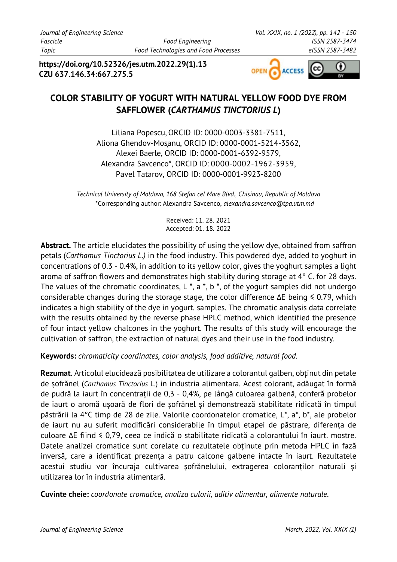**https://doi.org/10.52326/jes.utm.2022.29(1).13 CZU 637.146.34:667.275.5**



# **COLOR STABILITY OF YOGURT WITH NATURAL YELLOW FOOD DYE FROM SAFFLOWER (***CARTHAMUS TINCTORIUS L***)**

Liliana Popescu,ORCID ID: 0000-0003-3381-7511, Aliona Ghendov-Mosanu, ORCID ID: 0000-0001-5214-3562, Alexei Baerle, ORCID ID: 0000-0001-6392-9579, Alexandra Savcenco\*, ORCID ID: 0000-0002-1962-3959, Pavel Tatarov, ORCID ID: 0000-0001-9923-8200

*Technical University of Moldova, 168 Stefan cel Mare Blvd., Chisinau, Republic of Moldova* \*Corresponding author: Alexandra Savcenco, *[alexandra.savcenco@tpa.utm.md](mailto:alexandra.savcenco@tpa.utm.md)*

> Received: 11. 28. 2021 Accepted: 01. 18. 2022

**Abstract.** The article elucidates the possibility of using the yellow dye, obtained from saffron petals (*Carthamus Tinctorius L.)* in the food industry. This powdered dye, added to yoghurt in concentrations of 0.3 - 0.4%, in addition to its yellow color, gives the yoghurt samples a light aroma of saffron flowers and demonstrates high stability during storage at 4° C. for 28 days. The values of the chromatic coordinates,  $L^*$ ,  $a^*$ ,  $b^*$ , of the yogurt samples did not undergo considerable changes during the storage stage, the color difference ∆E being ≤ 0.79, which indicates a high stability of the dye in yogurt. samples. The chromatic analysis data correlate with the results obtained by the reverse phase HPLC method, which identified the presence of four intact yellow chalcones in the yoghurt. The results of this study will encourage the cultivation of saffron, the extraction of natural dyes and their use in the food industry.

**Keywords:** *chromaticity coordinates, color analysis, food additive, natural food.* 

**Rezumat.** Articolul elucidează posibilitatea de utilizare a colorantul galben, obținut din petale de șofrănel (*Carthamus Tinctorius* L.) in industria alimentara. Acest colorant, adăugat în formă de pudră la iaurt în concentrații de 0,3 - 0,4%, pe lângă culoarea galbenă, conferă probelor de iaurt o aromă ușoară de flori de șofrănel și demonstrează stabilitate ridicată în timpul păstrării la 4°C timp de 28 de zile. Valorile coordonatelor cromatice, L\*, a\*, b\*, ale probelor de iaurt nu au suferit modificări considerabile în timpul etapei de păstrare, diferența de culoare ∆E fiind ≤ 0,79, ceea ce indică o stabilitate ridicată a colorantului în iaurt. mostre. Datele analizei cromatice sunt corelate cu rezultatele obținute prin metoda HPLC în fază inversă, care a identificat prezența a patru calcone galbene intacte în iaurt. Rezultatele acestui studiu vor încuraja cultivarea șofrănelului, extragerea coloranților naturali și utilizarea lor în industria alimentară.

**Cuvinte cheie:** *coordonate cromatice, analiza culorii, aditiv alimentar, alimente naturale.*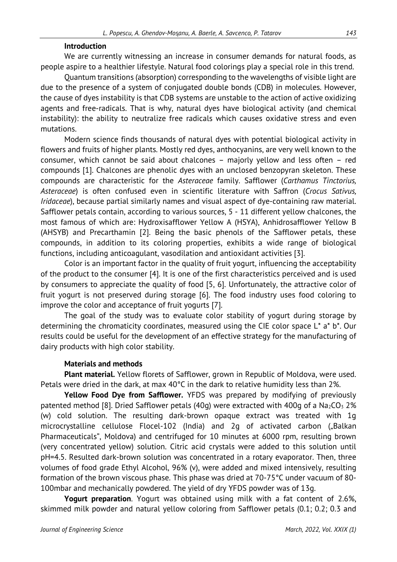#### **Introduction**

We are currently witnessing an increase in consumer demands for natural foods, as people aspire to a healthier lifestyle. Natural food colorings play a special role in this trend.

Quantum transitions (absorption) corresponding to the wavelengths of visible light are due to the presence of a system of conjugated double bonds (CDB) in molecules. However, the cause of dyes instability is that CDB systems are unstable to the action of active oxidizing agents and free-radicals. That is why, natural dyes have biological activity (and chemical instability): the ability to neutralize free radicals which causes oxidative stress and even mutations.

Modern science finds thousands of natural dyes with potential biological activity in flowers and fruits of higher plants. Mostly red dyes, anthocyanins, are very well known to the consumer, which cannot be said about chalcones – majorly yellow and less often – red compounds [1]. Chalcones are phenolic dyes with an unclosed benzopyran skeleton. These compounds are characteristic for the *Asteraceae* family. Safflower (*Carthamus Tinctorius, Asteraceae*) is often confused even in scientific literature with Saffron (*Crocus Sativus, Iridaceae*), because partial similarly names and visual aspect of dye-containing raw material. Safflower petals contain, according to various sources, 5 - 11 different yellow chalcones, the most famous of which are: Hydroxisafflower Yellow A (HSYA), Anhidrosafflower Yellow B (AHSYB) and Precarthamin [2]. Being the basic phenols of the Safflower petals, these compounds, in addition to its coloring properties, exhibits a wide range of biological functions, including anticoagulant, vasodilation and antioxidant activities [3].

Color is an important factor in the quality of fruit yogurt, influencing the acceptability of the product to the consumer [4]. It is one of the first characteristics perceived and is used by consumers to appreciate the quality of food [5, 6]. Unfortunately, the attractive color of fruit yogurt is not preserved during storage [6]. The food industry uses food coloring to improve the color and acceptance of fruit yogurts [7].

The goal of the study was to evaluate color stability of yogurt during storage by determining the chromaticity coordinates, measured using the CIE color space L\* a\* b\*. Our results could be useful for the development of an effective strategy for the manufacturing of dairy products with high color stability.

### **Materials and methods**

**Plant material.** Yellow florets of Safflower, grown in Republic of Moldova, were used. Petals were dried in the dark, at max 40°C in the dark to relative humidity less than 2%.

**Yellow Food Dye from Safflower.** YFDS was prepared by modifying of previously patented method [8]. Dried Safflower petals (40g) were extracted with 400g of a Na<sub>2</sub>CO<sub>3</sub> 2% (w) cold solution. The resulting dark-brown opaque extract was treated with 1g microcrystalline cellulose Flocel-102 (India) and 2q of activated carbon ("Balkan Pharmaceuticals", Moldova) and centrifuged for 10 minutes at 6000 rpm, resulting brown (very concentrated yellow) solution. Citric acid crystals were added to this solution until pH=4.5. Resulted dark-brown solution was concentrated in a rotary evaporator. Then, three volumes of food grade Ethyl Alcohol, 96% (v), were added and mixed intensively, resulting formation of the brown viscous phase. This phase was dried at 70-75°C under vacuum of 80- 100mbar and mechanically powdered. The yield of dry YFDS powder was of 13g.

**Yogurt preparation**. Yogurt was obtained using milk with a fat content of 2.6%, skimmed milk powder and natural yellow coloring from Safflower petals (0.1; 0.2; 0.3 and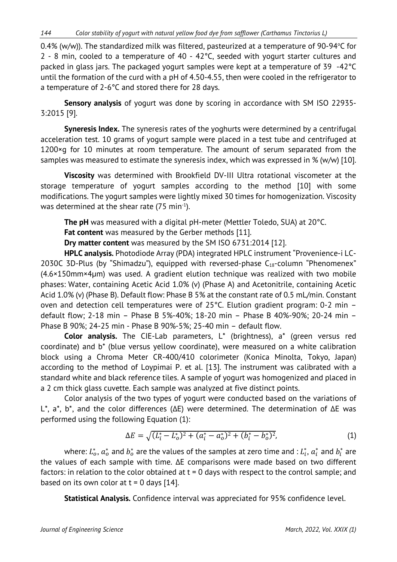*144 Color stability of yogurt with natural yellow food dye from safflower (Carthamus Tinctorius L)*

0.4% (w/w)). The standardized milk was filtered, pasteurized at a temperature of 90-94°C for 2 - 8 min, cooled to a temperature of 40 - 42°C, seeded with yogurt starter cultures and packed in glass jars. The packaged yogurt samples were kept at a temperature of 39 -42°C until the formation of the curd with a pH of 4.50-4.55, then were cooled in the refrigerator to a temperature of 2-6°C and stored there for 28 days.

**Sensory analysis** of yogurt was done by scoring in accordance with SM ISO 22935- 3:2015 [9].

**Syneresis Index.** The syneresis rates of the yoghurts were determined by a centrifugal acceleration test. 10 grams of yogurt sample were placed in a test tube and centrifuged at 1200×g for 10 minutes at room temperature. The amount of serum separated from the samples was measured to estimate the syneresis index, which was expressed in % (w/w) [10].

**Viscosity** was determined with Brookfield DV-III Ultra rotational viscometer at the storage temperature of yogurt samples according to the method [10] with some modifications. The yogurt samples were lightly mixed 30 times for homogenization. Viscosity was determined at the shear rate (75 min<sup>-1</sup>).

**The pH** was measured with a digital pH-meter (Mettler Toledo, SUA) at 20°C.

**Fat content** was measured by the Gerber methods [11].

**Dry matter content** was measured by the SM ISO 6731:2014 [12].

**HPLC analysis.** Photodiode Array (PDA) integrated HPLC instrument "Provenience-i LC-2030C 3D-Plus (by "Shimadzu"), equipped with reversed-phase  $C_{18}$ -column "Phenomenex" (4.6×150mm×4μm) was used. A gradient elution technique was realized with two mobile phases: Water, containing Acetic Acid 1.0% (v) (Phase A) and Acetonitrile, containing Acetic Acid 1.0% (v) (Phase B). Default flow: Phase B 5% at the constant rate of 0.5 mL/min. Constant oven and detection cell temperatures were of 25°C. Elution gradient program: 0-2 min – default flow; 2-18 min – Phase B 5%-40%; 18-20 min – Phase B 40%-90%; 20-24 min – Phase B 90%; 24-25 min - Phase B 90%-5%; 25-40 min – default flow.

**Color analysis.** The CIE-Lab parameters, L\* (brightness), a\* (green versus red coordinate) and b\* (blue versus yellow coordinate), were measured on a white calibration block using a Chroma Meter CR-400/410 colorimeter (Konica Minolta, Tokyo, Japan) according to the method of Loypimai P. et al. [13]. The instrument was calibrated with a standard white and black reference tiles. A sample of yogurt was homogenized and placed in a 2 cm thick glass cuvette. Each sample was analyzed at five distinct points.

Color analysis of the two types of yogurt were conducted based on the variations of L\*, a\*, b\*, and the color differences (ΔE) were determined. The determination of ∆E was performed using the following Equation (1):

$$
\Delta E = \sqrt{(L_i^* - L_o^*)^2 + (a_i^* - a_o^*)^2 + (b_i^* - b_o^*)^2},\tag{1}
$$

where:  $L_o^*,$   $a_o^*$  and  $b_o^*$  are the values of the samples at zero time and :  $L_i^*,$   $a_i^*$  and  $b_i^*$  are the values of each sample with time. ∆E comparisons were made based on two different factors: in relation to the color obtained at  $t = 0$  days with respect to the control sample; and based on its own color at  $t = 0$  days [14].

**Statistical Analysis.** Confidence interval was appreciated for 95% confidence level.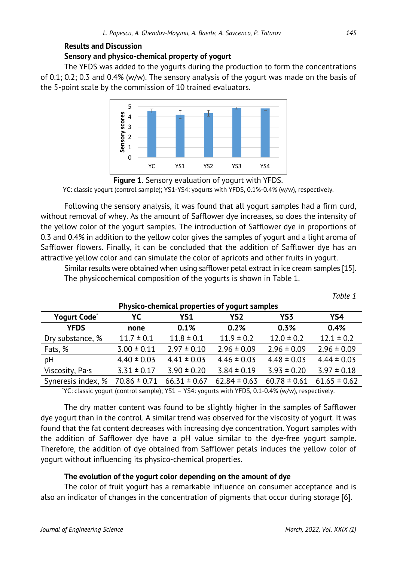# **Results and Discussion Sensory and physico-chemical property of yogurt**

The YFDS was added to the yogurts during the production to form the concentrations of 0.1; 0.2; 0.3 and 0.4% (w/w). The sensory analysis of the yogurt was made on the basis of the 5-point scale by the commission of 10 trained evaluators.



**Figure 1.** Sensory evaluation of yogurt with YFDS. YC: classic yogurt (control sample); YS1-YS4: yogurts with YFDS, 0.1%-0.4% (w/w), respectively.

Following the sensory analysis, it was found that all yogurt samples had a firm curd, without removal of whey. As the amount of Safflower dye increases, so does the intensity of the yellow color of the yogurt samples. The introduction of Safflower dye in proportions of 0.3 and 0.4% in addition to the yellow color gives the samples of yogurt and a light aroma of Safflower flowers. Finally, it can be concluded that the addition of Safflower dye has an attractive yellow color and can simulate the color of apricots and other fruits in yogurt.

Similar results were obtained when using safflower petal extract in ice cream samples [15]. The physicochemical composition of the yogurts is shown in Table 1.

| Physico-chemical properties of yogurt samples |                  |                  |                  |                  |                  |
|-----------------------------------------------|------------------|------------------|------------------|------------------|------------------|
| Yogurt Code <sup>*</sup>                      | YC               | YS1              | YS <sub>2</sub>  | YS3              | YS4              |
| <b>YFDS</b>                                   | none             | 0.1%             | 0.2%             | 0.3%             | 0.4%             |
| Dry substance, %                              | $11.7 \pm 0.1$   | $11.8 \pm 0.1$   | $11.9 \pm 0.2$   | $12.0 \pm 0.2$   | $12.1 \pm 0.2$   |
| Fats, %                                       | $3.00 \pm 0.11$  | $2.97 \pm 0.10$  | $2.96 \pm 0.09$  | $2.96 \pm 0.09$  | $2.96 \pm 0.09$  |
| pH                                            | $4.40 \pm 0.03$  | $4.41 \pm 0.03$  | $4.46 \pm 0.03$  | $4.48 \pm 0.03$  | $4.44 \pm 0.03$  |
| Viscosity, Pa.s                               | $3.31 \pm 0.17$  | $3.90 \pm 0.20$  | $3.84 \pm 0.19$  | $3.93 \pm 0.20$  | $3.97 \pm 0.18$  |
| Syneresis index, %                            | $70.86 \pm 0.71$ | $66.31 \pm 0.67$ | $62.84 \pm 0.63$ | $60.78 \pm 0.61$ | $61.65 \pm 0.62$ |

**Physico-chemical properties of yogurt samples**

\* YC: classic yogurt (control sample); YS1 – YS4: yogurts with YFDS, 0.1-0.4% (w/w), respectively.

The dry matter content was found to be slightly higher in the samples of Safflower dye yogurt than in the control. A similar trend was observed for the viscosity of yogurt. It was found that the fat content decreases with increasing dye concentration. Yogurt samples with the addition of Safflower dye have a pH value similar to the dye-free yogurt sample. Therefore, the addition of dye obtained from Safflower petals induces the yellow color of yogurt without influencing its physico-chemical properties.

# **The evolution of the yogurt color depending on the amount of dye**

The color of fruit yogurt has a remarkable influence on consumer acceptance and is also an indicator of changes in the concentration of pigments that occur during storage [6].

*Table 1*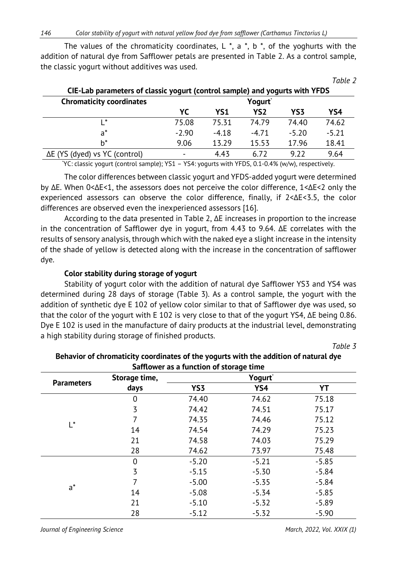The values of the chromaticity coordinates,  $L^*$ ,  $a^*$ ,  $b^*$ , of the yoghurts with the addition of natural dye from Safflower petals are presented in Table 2. As a control sample, the classic yogurt without additives was used.

|                                                                             |         |                 |                 |                 | .       |
|-----------------------------------------------------------------------------|---------|-----------------|-----------------|-----------------|---------|
| CIE-Lab parameters of classic yogurt (control sample) and yogurts with YFDS |         |                 |                 |                 |         |
| <b>Chromaticity coordinates</b><br>Yogurt <sup>*</sup>                      |         |                 |                 |                 |         |
|                                                                             | YC      | YS <sub>1</sub> | YS <sub>2</sub> | YS <sub>3</sub> | YS4     |
| . *                                                                         | 75.08   | 75.31           | 74.79           | 74.40           | 74.62   |
| $a^*$                                                                       | $-2.90$ | $-4.18$         | $-4.71$         | $-5.20$         | $-5.21$ |
| $b^*$                                                                       | 9.06    | 13.29           | 15.53           | 17.96           | 18.41   |
| $\Delta E$ (YS (dyed) vs YC (control)                                       |         | 4.43            | 6.72            | 9.22            | 9.64    |

\* YC: classic yogurt (control sample); YS1 – YS4: yogurts with YFDS, 0.1-0.4% (w/w), respectively.

The color differences between classic yogurt and YFDS-added yogurt were determined by ∆E. When 0<∆E<1, the assessors does not perceive the color difference, 1<∆E<2 only the experienced assessors can observe the color difference, finally, if 2<∆E<3.5, the color differences are observed even the inexperienced assessors [16].

According to the data presented in Table 2, ∆E increases in proportion to the increase in the concentration of Safflower dye in yogurt, from 4.43 to 9.64. ∆E correlates with the results of sensory analysis, through which with the naked eye a slight increase in the intensity of the shade of yellow is detected along with the increase in the concentration of safflower dye.

### **Color stability during storage of yogurt**

Stability of yogurt color with the addition of natural dye Safflower YS3 and YS4 was determined during 28 days of storage (Table 3). As a control sample, the yogurt with the addition of synthetic dye E 102 of yellow color similar to that of Safflower dye was used, so that the color of the yogurt with E 102 is very close to that of the yogurt YS4, ∆E being 0.86. Dye E 102 is used in the manufacture of dairy products at the industrial level, demonstrating a high stability during storage of finished products.

*Table 3*

*Table 2*

| Safflower as a function of storage time |               |         |         |         |  |
|-----------------------------------------|---------------|---------|---------|---------|--|
|                                         | Storage time, |         |         |         |  |
| <b>Parameters</b>                       | days          | YS3     | YS4     | YT      |  |
|                                         | $\mathbf 0$   | 74.40   | 74.62   | 75.18   |  |
|                                         | 3             | 74.42   | 74.51   | 75.17   |  |
| $\mathsf{I}^*$                          | 7             | 74.35   | 74.46   | 75.12   |  |
|                                         | 14            | 74.54   | 74.29   | 75.23   |  |
|                                         | 21            | 74.58   | 74.03   | 75.29   |  |
|                                         | 28            | 74.62   | 73.97   | 75.48   |  |
|                                         | $\mathbf 0$   | $-5.20$ | $-5.21$ | $-5.85$ |  |
|                                         | 3             | $-5.15$ | $-5.30$ | $-5.84$ |  |
|                                         | 7             | $-5.00$ | $-5.35$ | $-5.84$ |  |
| $a^*$                                   | 14            | $-5.08$ | $-5.34$ | $-5.85$ |  |
|                                         | 21            | $-5.10$ | $-5.32$ | $-5.89$ |  |
|                                         | 28            | $-5.12$ | $-5.32$ | $-5.90$ |  |

**Behavior of chromaticity coordinates of the yogurts with the addition of natural dye** 

*Journal of Engineering Science March, 2022, Vol. XXIX (1)*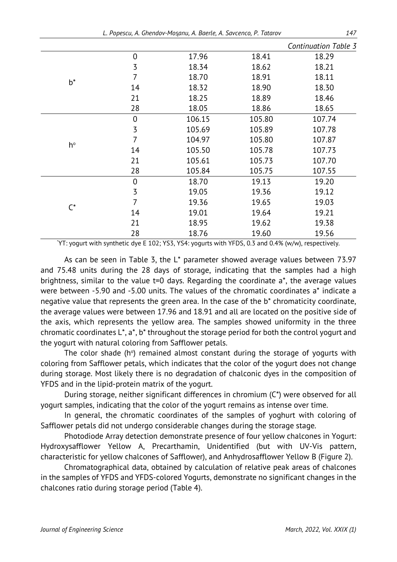*L. Popescu, A. Ghendov-Moșanu, A. Baerle, A. Savcenco, P. Tatarov 147* 

|                |                |        |        | Continuation Table 3 |
|----------------|----------------|--------|--------|----------------------|
| $b^*$          | $\mathbf 0$    | 17.96  | 18.41  | 18.29                |
|                | $\overline{3}$ | 18.34  | 18.62  | 18.21                |
|                | 7              | 18.70  | 18.91  | 18.11                |
|                | 14             | 18.32  | 18.90  | 18.30                |
|                | 21             | 18.25  | 18.89  | 18.46                |
|                | 28             | 18.05  | 18.86  | 18.65                |
|                | $\mathbf 0$    | 106.15 | 105.80 | 107.74               |
|                | 3              | 105.69 | 105.89 | 107.78               |
|                | $\overline{7}$ | 104.97 | 105.80 | 107.87               |
| h°             | 14             | 105.50 | 105.78 | 107.73               |
|                | 21             | 105.61 | 105.73 | 107.70               |
|                | 28             | 105.84 | 105.75 | 107.55               |
| $\mathsf{C}^*$ | $\overline{0}$ | 18.70  | 19.13  | 19.20                |
|                | 3              | 19.05  | 19.36  | 19.12                |
|                | 7              | 19.36  | 19.65  | 19.03                |
|                | 14             | 19.01  | 19.64  | 19.21                |
|                | 21             | 18.95  | 19.62  | 19.38                |
|                | 28             | 18.76  | 19.60  | 19.56                |

\* YT: yogurt with synthetic dye E 102; YS3, YS4: yogurts with YFDS, 0.3 and 0.4% (w/w), respectively.

As can be seen in Table 3, the L\* parameter showed average values between 73.97 and 75.48 units during the 28 days of storage, indicating that the samples had a high brightness, similar to the value t=0 days. Regarding the coordinate a\*, the average values were between -5.90 and -5.00 units. The values of the chromatic coordinates a\* indicate a negative value that represents the green area. In the case of the b\* chromaticity coordinate, the average values were between 17.96 and 18.91 and all are located on the positive side of the axis, which represents the yellow area. The samples showed uniformity in the three chromatic coordinates L\*, a\*, b\* throughout the storage period for both the control yogurt and the yogurt with natural coloring from Safflower petals.

The color shade ( $h^{\circ}$ ) remained almost constant during the storage of yogurts with coloring from Safflower petals, which indicates that the color of the yogurt does not change during storage. Most likely there is no degradation of chalconic dyes in the composition of YFDS and in the lipid-protein matrix of the yogurt.

During storage, neither significant differences in chromium (C\*) were observed for all yogurt samples, indicating that the color of the yogurt remains as intense over time.

In general, the chromatic coordinates of the samples of yoghurt with coloring of Safflower petals did not undergo considerable changes during the storage stage.

Photodiode Array detection demonstrate presence of four yellow chalcones in Yogurt: Hydroxysafflower Yellow A, Precarthamin, Unidentified (but with UV-Vis pattern, characteristic for yellow chalcones of Safflower), and Anhydrosafflower Yellow B (Figure 2).

Chromatographical data, obtained by calculation of relative peak areas of chalcones in the samples of YFDS and YFDS-colored Yogurts, demonstrate no significant changes in the chalcones ratio during storage period (Table 4).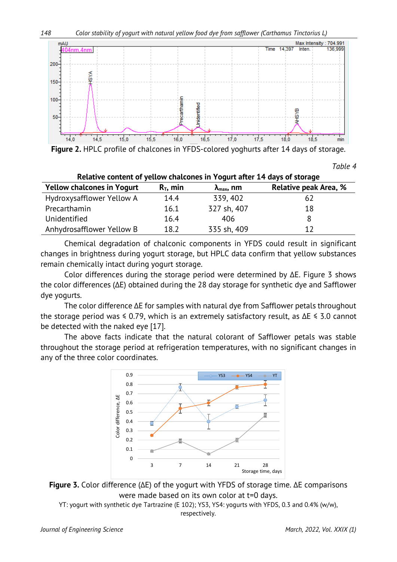

**Figure 2.** HPLC profile of chalcones in YFDS-colored yoghurts after 14 days of storage.

*Table 4*

| Relative content of yellow chalcones in Yogurt after 14 days of storage |             |                             |                       |  |  |
|-------------------------------------------------------------------------|-------------|-----------------------------|-----------------------|--|--|
| <b>Yellow chalcones in Yogurt</b>                                       | $R_T$ , min | $\lambda_{\text{max}}$ , nm | Relative peak Area, % |  |  |
| Hydroxysafflower Yellow A                                               | 14.4        | 339, 402                    | 62                    |  |  |
| Precarthamin                                                            | 16.1        | 327 sh, 407                 | 18                    |  |  |
| Unidentified                                                            | 16.4        | 406                         | 8                     |  |  |
| Anhydrosafflower Yellow B                                               | 18.2        | 335 sh, 409                 | 12                    |  |  |

Chemical degradation of chalconic components in YFDS could result in significant changes in brightness during yogurt storage, but HPLC data confirm that yellow substances remain chemically intact during yogurt storage.

Color differences during the storage period were determined by ∆E. Figure 3 shows the color differences (∆E) obtained during the 28 day storage for synthetic dye and Safflower dye yogurts.

The color difference ∆E for samples with natural dye from Safflower petals throughout the storage period was ≤ 0.79, which is an extremely satisfactory result, as ∆E ≤ 3.0 cannot be detected with the naked eye [17].

The above facts indicate that the natural colorant of Safflower petals was stable throughout the storage period at refrigeration temperatures, with no significant changes in any of the three color coordinates.





YT: yogurt with synthetic dye Tartrazine (E 102); YS3, YS4: yogurts with YFDS, 0.3 and 0.4% (w/w), respectively.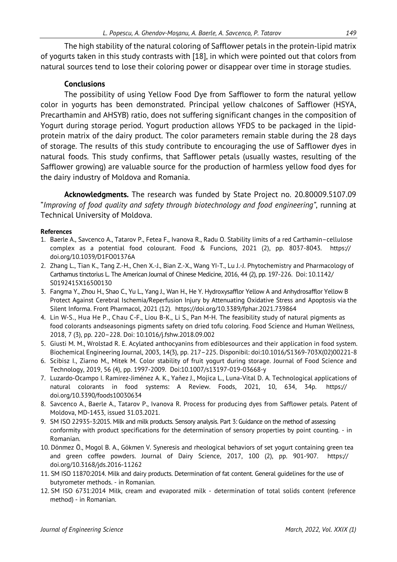The high stability of the natural coloring of Safflower petals in the protein-lipid matrix of yogurts taken in this study contrasts with [18], in which were pointed out that colors from natural sources tend to lose their coloring power or disappear over time in storage studies.

### **Conclusions**

The possibility of using Yellow Food Dye from Safflower to form the natural yellow color in yogurts has been demonstrated. Principal yellow chalcones of Safflower (HSYA, Precarthamin and AHSYB) ratio, does not suffering significant changes in the composition of Yogurt during storage period. Yogurt production allows YFDS to be packaged in the lipidprotein matrix of the dairy product. The color parameters remain stable during the 28 days of storage. The results of this study contribute to encouraging the use of Safflower dyes in natural foods. This study confirms, that Safflower petals (usually wastes, resulting of the Safflower growing) are valuable source for the production of harmless yellow food dyes for the dairy industry of Moldova and Romania.

**Acknowledgments.** The research was funded by State Project no. 20.80009.5107.09 "*Improving of food quality and safety through biotechnology and food engineering"*, running at Technical University of Moldova.

### **References**

- 1. Baerle A., Savcenco A., Tatarov P., Fetea F., Ivanova R., Radu O. Stability limits of a red Carthamin–cellulose complex as a potential food colourant. Food & Funcions, 2021 (2), pp. 8037-8043. https:// doi.org/10.1039/D1FO01376A
- 2. Zhang L., Tian K., Tang Z.-H., Chen X.-J., Bian Z.-X., Wang YI-T., Lu J.-J. Phytochemistry and Pharmacology of Carthamus tinctorius L. The American Journal of Chinese Medicine, 2016, 44 (2), pp. 197-226. Doi: 10.1142/ S0192415X16500130
- 3. Fangma Y., Zhou H., Shao C., Yu L., Yang J., Wan H., He Y. Hydroxysafflor Yellow A and Anhydrosafflor Yellow B Protect Against Cerebral Ischemia/Reperfusion Injury by Attenuating Oxidative Stress and Apoptosis via the Silent Informa. Front Pharmacol, 2021 (12). https://doi.org/10.3389/fphar.2021.739864
- 4. Lin W-S., Hua He P., Chau C-F., Liou B-K., Li S., Pan M-H. The feasibility study of natural pigments as food colorants andseasonings pigments safety on dried tofu coloring. Food Science and Human Wellness, 2018, 7 (3), pp. 220–228. Doi: 10.1016/j.fshw.2018.09.002
- 5. Giusti M. M., Wrolstad R. E. Acylated anthocyanins from ediblesources and their application in food system. Biochemical Engineering Journal, 2003, 14(3), pp. 217–225. Disponibil: doi:10.1016/S1369-703X(02)00221-8
- 6. Scibisz I., Ziarno M., Mitek M. Color stability of fruit yogurt during storage. Journal of Food Science and Technology, 2019, 56 (4), pp. 1997-2009. Doi:10.1007/s13197-019-03668-y
- 7. Luzardo-Ocampo I. Ramírez-Jiménez A. K., Yañez J., Mojica L., Luna-Vital D. A. Technological applications of natural colorants in food systems: A Review. Foods, 2021, 10, 634, 34p. https:// doi.org/10.3390/foods10030634
- 8. Savcenco A., Baerle A., Tatarov P., Ivanova R. Process for producing dyes from Safflower petals. Patent of Moldova, MD-1453, issued 31.03.2021.
- 9. SM ISO 22935-3:2015. Milk and milk products. Sensory analysis. Part 3: Guidance on the method of assessing conformity with product specifications for the determination of sensory properties by point counting. - in Romanian.
- 10. Dönmez Ö., Mogol B. A., Gökmen V. Syneresis and rheological behaviors of set yogurt containing green tea and green coffee powders. Journal of Dairy Science, 2017, 100 (2), pp. 901-907. https:// doi.org/10.3168/jds.2016-11262
- 11. SM ISO 11870:2014. Milk and dairy products. Determination of fat content. General guidelines for the use of butyrometer methods. - in Romanian.
- 12. SM ISO 6731:2014 Milk, cream and evaporated milk determination of total solids content (reference method) - in Romanian.